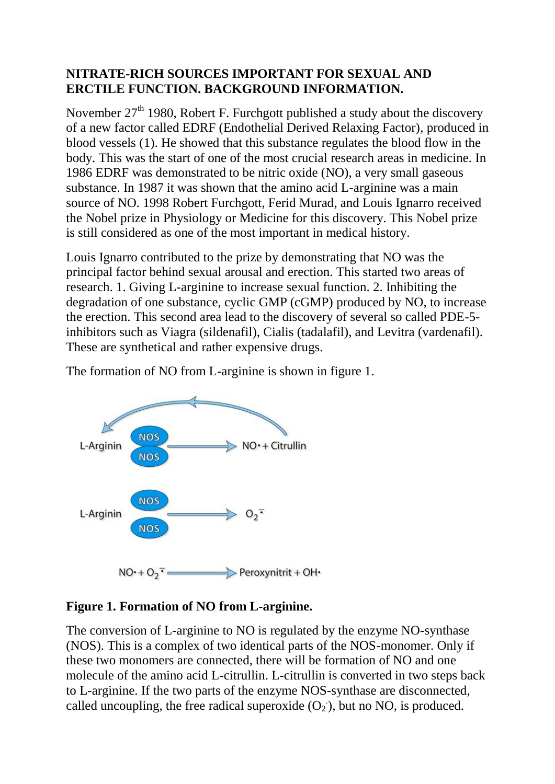## **NITRATE-RICH SOURCES IMPORTANT FOR SEXUAL AND ERCTILE FUNCTION. BACKGROUND INFORMATION.**

November  $27<sup>th</sup>$  1980, Robert F. Furchgott published a study about the discovery of a new factor called EDRF (Endothelial Derived Relaxing Factor), produced in blood vessels (1). He showed that this substance regulates the blood flow in the body. This was the start of one of the most crucial research areas in medicine. In 1986 EDRF was demonstrated to be nitric oxide (NO), a very small gaseous substance. In 1987 it was shown that the amino acid L-arginine was a main source of NO. 1998 Robert Furchgott, Ferid Murad, and Louis Ignarro received the Nobel prize in Physiology or Medicine for this discovery. This Nobel prize is still considered as one of the most important in medical history.

Louis Ignarro contributed to the prize by demonstrating that NO was the principal factor behind sexual arousal and erection. This started two areas of research. 1. Giving L-arginine to increase sexual function. 2. Inhibiting the degradation of one substance, cyclic GMP (cGMP) produced by NO, to increase the erection. This second area lead to the discovery of several so called PDE-5 inhibitors such as Viagra (sildenafil), Cialis (tadalafil), and Levitra (vardenafil). These are synthetical and rather expensive drugs.

The formation of NO from L-arginine is shown in figure 1.



## **Figure 1. Formation of NO from L-arginine.**

The conversion of L-arginine to NO is regulated by the enzyme NO-synthase (NOS). This is a complex of two identical parts of the NOS-monomer. Only if these two monomers are connected, there will be formation of NO and one molecule of the amino acid L-citrullin. L-citrullin is converted in two steps back to L-arginine. If the two parts of the enzyme NOS-synthase are disconnected, called uncoupling, the free radical superoxide  $(O_2)$ , but no NO, is produced.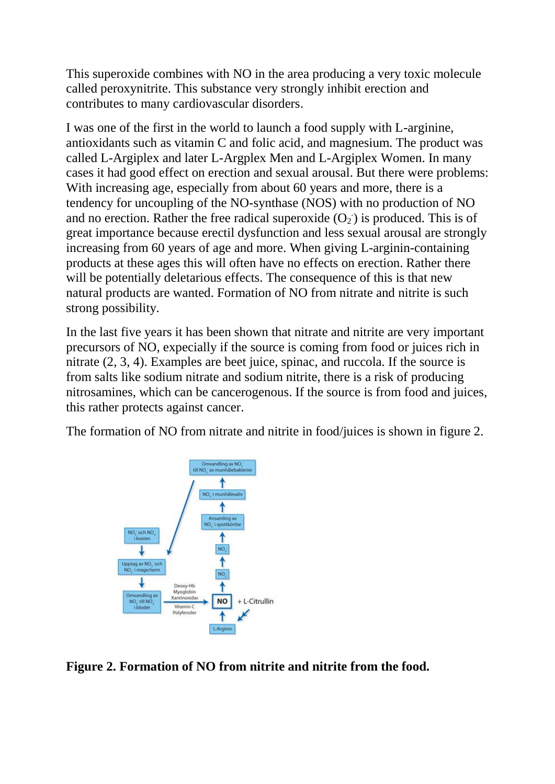This superoxide combines with NO in the area producing a very toxic molecule called peroxynitrite. This substance very strongly inhibit erection and contributes to many cardiovascular disorders.

I was one of the first in the world to launch a food supply with L-arginine, antioxidants such as vitamin C and folic acid, and magnesium. The product was called L-Argiplex and later L-Argplex Men and L-Argiplex Women. In many cases it had good effect on erection and sexual arousal. But there were problems: With increasing age, especially from about 60 years and more, there is a tendency for uncoupling of the NO-synthase (NOS) with no production of NO and no erection. Rather the free radical superoxide  $(O_2)$  is produced. This is of great importance because erectil dysfunction and less sexual arousal are strongly increasing from 60 years of age and more. When giving L-arginin-containing products at these ages this will often have no effects on erection. Rather there will be potentially deletarious effects. The consequence of this is that new natural products are wanted. Formation of NO from nitrate and nitrite is such strong possibility.

In the last five years it has been shown that nitrate and nitrite are very important precursors of NO, expecially if the source is coming from food or juices rich in nitrate (2, 3, 4). Examples are beet juice, spinac, and ruccola. If the source is from salts like sodium nitrate and sodium nitrite, there is a risk of producing nitrosamines, which can be cancerogenous. If the source is from food and juices, this rather protects against cancer.

The formation of NO from nitrate and nitrite in food/juices is shown in figure 2.



**Figure 2. Formation of NO from nitrite and nitrite from the food.**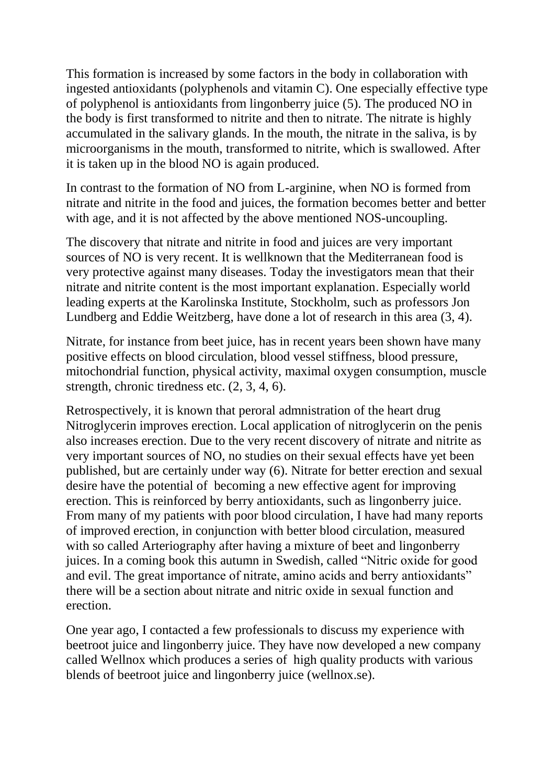This formation is increased by some factors in the body in collaboration with ingested antioxidants (polyphenols and vitamin C). One especially effective type of polyphenol is antioxidants from lingonberry juice (5). The produced NO in the body is first transformed to nitrite and then to nitrate. The nitrate is highly accumulated in the salivary glands. In the mouth, the nitrate in the saliva, is by microorganisms in the mouth, transformed to nitrite, which is swallowed. After it is taken up in the blood NO is again produced.

In contrast to the formation of NO from L-arginine, when NO is formed from nitrate and nitrite in the food and juices, the formation becomes better and better with age, and it is not affected by the above mentioned NOS-uncoupling.

The discovery that nitrate and nitrite in food and juices are very important sources of NO is very recent. It is wellknown that the Mediterranean food is very protective against many diseases. Today the investigators mean that their nitrate and nitrite content is the most important explanation. Especially world leading experts at the Karolinska Institute, Stockholm, such as professors Jon Lundberg and Eddie Weitzberg, have done a lot of research in this area (3, 4).

Nitrate, for instance from beet juice, has in recent years been shown have many positive effects on blood circulation, blood vessel stiffness, blood pressure, mitochondrial function, physical activity, maximal oxygen consumption, muscle strength, chronic tiredness etc. (2, 3, 4, 6).

Retrospectively, it is known that peroral admnistration of the heart drug Nitroglycerin improves erection. Local application of nitroglycerin on the penis also increases erection. Due to the very recent discovery of nitrate and nitrite as very important sources of NO, no studies on their sexual effects have yet been published, but are certainly under way (6). Nitrate for better erection and sexual desire have the potential of becoming a new effective agent for improving erection. This is reinforced by berry antioxidants, such as lingonberry juice. From many of my patients with poor blood circulation, I have had many reports of improved erection, in conjunction with better blood circulation, measured with so called Arteriography after having a mixture of beet and lingonberry juices. In a coming book this autumn in Swedish, called "Nitric oxide for good and evil. The great importance of nitrate, amino acids and berry antioxidants" there will be a section about nitrate and nitric oxide in sexual function and erection.

One year ago, I contacted a few professionals to discuss my experience with beetroot juice and lingonberry juice. They have now developed a new company called Wellnox which produces a series of high quality products with various blends of beetroot juice and lingonberry juice (wellnox.se).